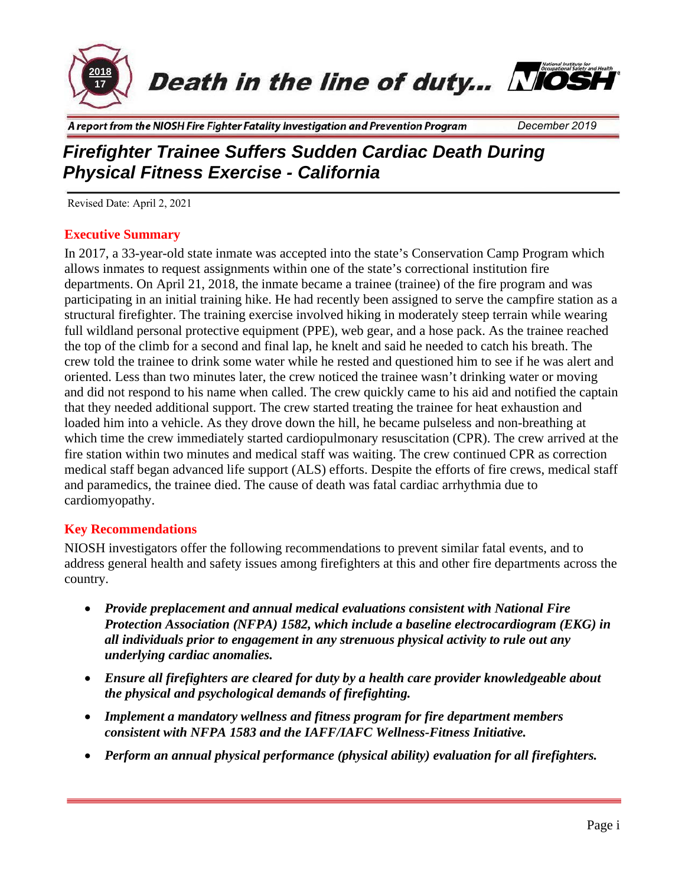

Death in the line of duty... NIOSH



## *Firefighter Trainee Suffers Sudden Cardiac Death During Physical Fitness Exercise - California*

Revised Date: April 2, 2021

#### **Executive Summary**

In 2017, a 33-year-old state inmate was accepted into the state's Conservation Camp Program which allows inmates to request assignments within one of the state's correctional institution fire departments. On April 21, 2018, the inmate became a trainee (trainee) of the fire program and was participating in an initial training hike. He had recently been assigned to serve the campfire station as a structural firefighter. The training exercise involved hiking in moderately steep terrain while wearing full wildland personal protective equipment (PPE), web gear, and a hose pack. As the trainee reached the top of the climb for a second and final lap, he knelt and said he needed to catch his breath. The crew told the trainee to drink some water while he rested and questioned him to see if he was alert and oriented. Less than two minutes later, the crew noticed the trainee wasn't drinking water or moving and did not respond to his name when called. The crew quickly came to his aid and notified the captain that they needed additional support. The crew started treating the trainee for heat exhaustion and loaded him into a vehicle. As they drove down the hill, he became pulseless and non-breathing at which time the crew immediately started cardiopulmonary resuscitation (CPR). The crew arrived at the fire station within two minutes and medical staff was waiting. The crew continued CPR as correction medical staff began advanced life support (ALS) efforts. Despite the efforts of fire crews, medical staff and paramedics, the trainee died. The cause of death was fatal cardiac arrhythmia due to cardiomyopathy.

#### **Key Recommendations**

NIOSH investigators offer the following recommendations to prevent similar fatal events, and to address general health and safety issues among firefighters at this and other fire departments across the country.

- *Provide preplacement and annual medical evaluations consistent with National Fire Protection Association (NFPA) 1582, which include a baseline electrocardiogram (EKG) in all individuals prior to engagement in any strenuous physical activity to rule out any underlying cardiac anomalies.*
- *Ensure all firefighters are cleared for duty by a health care provider knowledgeable about the physical and psychological demands of firefighting.*
- *Implement a mandatory wellness and fitness program for fire department members consistent with NFPA 1583 and the IAFF/IAFC Wellness-Fitness Initiative.*
- *Perform an annual physical performance (physical ability) evaluation for all firefighters.*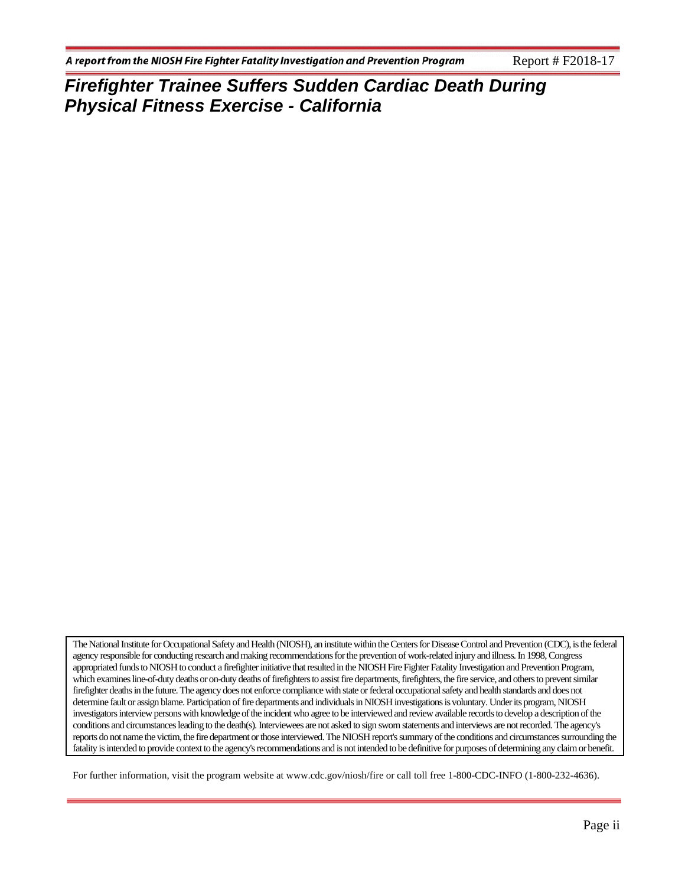The National Institute for Occupational Safety and Health (NIOSH), an institute within the Centers for Disease Control and Prevention (CDC), is the federal agency responsible for conducting research and making recommendations for the prevention of work-related injury and illness. In 1998, Congress appropriated funds to NIOSH to conduct a firefighter initiative that resulted in the NIOSH Fire Fighter Fatality Investigation and Prevention Program, which examines line-of-duty deaths or on-duty deaths of firefighters to assist fire departments, firefighters, the fire service, and others to prevent similar firefighter deaths in the future. The agency does not enforce compliance with state or federal occupational safety and health standards and does not determine fault or assign blame. Participation of fire departments and individuals in NIOSH investigations is voluntary. Under its program, NIOSH investigators interview persons with knowledge of the incident who agree to be interviewed and review available records to develop a description of the conditions and circumstances leading to the death(s). Interviewees are not asked to sign sworn statements and interviews are not recorded. The agency's reports do not name the victim, the fire department or those interviewed. The NIOSH report's summary of the conditions and circumstances surrounding the fatality is intended to provide context to the agency's recommendations and is not intended to be definitive for purposes of determining any claim or benefit.

For further information, visit the program website at www.cdc.gov/niosh/fire or call toll free 1-800-CDC-INFO (1-800-232-4636).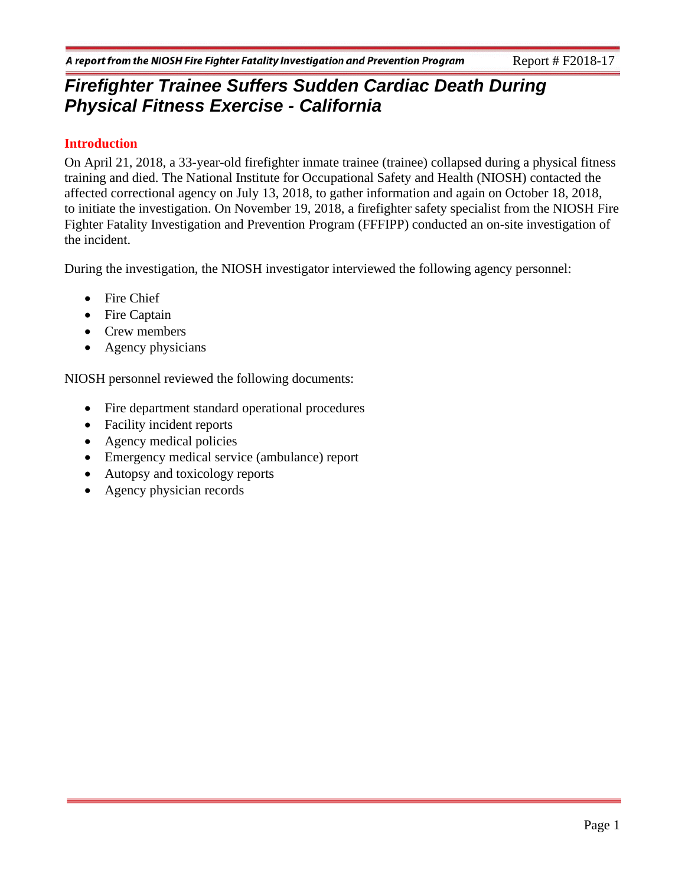#### **Introduction**

On April 21, 2018, a 33-year-old firefighter inmate trainee (trainee) collapsed during a physical fitness training and died. The National Institute for Occupational Safety and Health (NIOSH) contacted the affected correctional agency on July 13, 2018, to gather information and again on October 18, 2018, to initiate the investigation. On November 19, 2018, a firefighter safety specialist from the NIOSH Fire Fighter Fatality Investigation and Prevention Program (FFFIPP) conducted an on-site investigation of the incident.

During the investigation, the NIOSH investigator interviewed the following agency personnel:

- Fire Chief
- Fire Captain
- Crew members
- Agency physicians

NIOSH personnel reviewed the following documents:

- Fire department standard operational procedures
- Facility incident reports
- Agency medical policies
- Emergency medical service (ambulance) report
- Autopsy and toxicology reports
- Agency physician records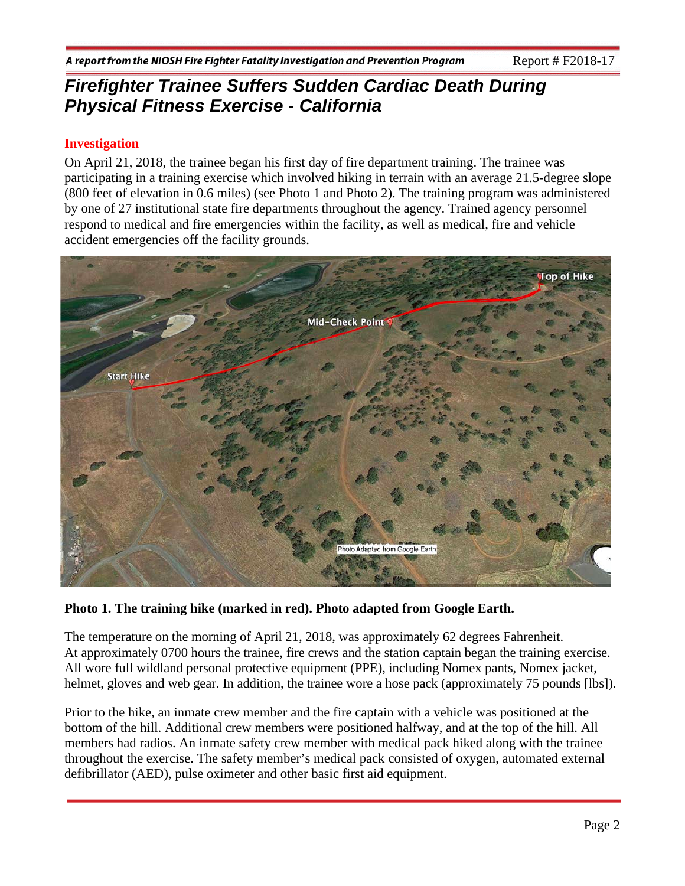### **Investigation**

On April 21, 2018, the trainee began his first day of fire department training. The trainee was participating in a training exercise which involved hiking in terrain with an average 21.5-degree slope (800 feet of elevation in 0.6 miles) (see Photo 1 and Photo 2). The training program was administered by one of 27 institutional state fire departments throughout the agency. Trained agency personnel respond to medical and fire emergencies within the facility, as well as medical, fire and vehicle accident emergencies off the facility grounds.



#### **Photo 1. The training hike (marked in red). Photo adapted from Google Earth.**

The temperature on the morning of April 21, 2018, was approximately 62 degrees Fahrenheit. At approximately 0700 hours the trainee, fire crews and the station captain began the training exercise. All wore full wildland personal protective equipment (PPE), including Nomex pants, Nomex jacket, helmet, gloves and web gear. In addition, the trainee wore a hose pack (approximately 75 pounds [lbs]).

Prior to the hike, an inmate crew member and the fire captain with a vehicle was positioned at the bottom of the hill. Additional crew members were positioned halfway, and at the top of the hill. All members had radios. An inmate safety crew member with medical pack hiked along with the trainee throughout the exercise. The safety member's medical pack consisted of oxygen, automated external defibrillator (AED), pulse oximeter and other basic first aid equipment.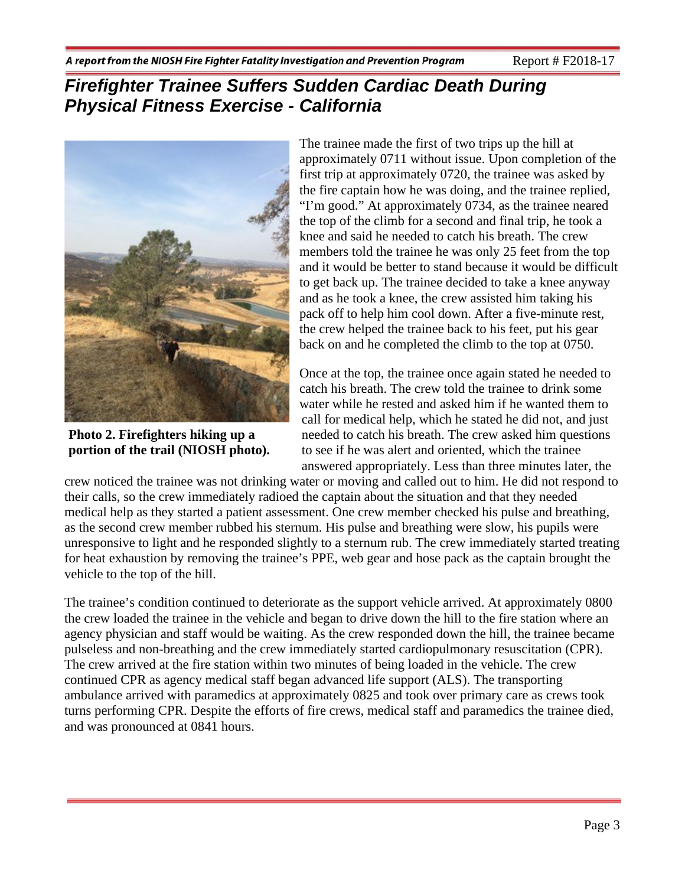Report # F2018-17

# *Firefighter Trainee Suffers Sudden Cardiac Death During Physical Fitness Exercise - California*



**Photo 2. Firefighters hiking up a portion of the trail (NIOSH photo).**

The trainee made the first of two trips up the hill at approximately 0711 without issue. Upon completion of the first trip at approximately 0720, the trainee was asked by the fire captain how he was doing, and the trainee replied, "I'm good." At approximately 0734, as the trainee neared the top of the climb for a second and final trip, he took a knee and said he needed to catch his breath. The crew members told the trainee he was only 25 feet from the top and it would be better to stand because it would be difficult to get back up. The trainee decided to take a knee anyway and as he took a knee, the crew assisted him taking his pack off to help him cool down. After a five-minute rest, the crew helped the trainee back to his feet, put his gear back on and he completed the climb to the top at 0750.

Once at the top, the trainee once again stated he needed to catch his breath. The crew told the trainee to drink some water while he rested and asked him if he wanted them to call for medical help, which he stated he did not, and just needed to catch his breath. The crew asked him questions to see if he was alert and oriented, which the trainee answered appropriately. Less than three minutes later, the

crew noticed the trainee was not drinking water or moving and called out to him. He did not respond to their calls, so the crew immediately radioed the captain about the situation and that they needed medical help as they started a patient assessment. One crew member checked his pulse and breathing, as the second crew member rubbed his sternum. His pulse and breathing were slow, his pupils were unresponsive to light and he responded slightly to a sternum rub. The crew immediately started treating for heat exhaustion by removing the trainee's PPE, web gear and hose pack as the captain brought the vehicle to the top of the hill.

The trainee's condition continued to deteriorate as the support vehicle arrived. At approximately 0800 the crew loaded the trainee in the vehicle and began to drive down the hill to the fire station where an agency physician and staff would be waiting. As the crew responded down the hill, the trainee became pulseless and non-breathing and the crew immediately started cardiopulmonary resuscitation (CPR). The crew arrived at the fire station within two minutes of being loaded in the vehicle. The crew continued CPR as agency medical staff began advanced life support (ALS). The transporting ambulance arrived with paramedics at approximately 0825 and took over primary care as crews took turns performing CPR. Despite the efforts of fire crews, medical staff and paramedics the trainee died, and was pronounced at 0841 hours.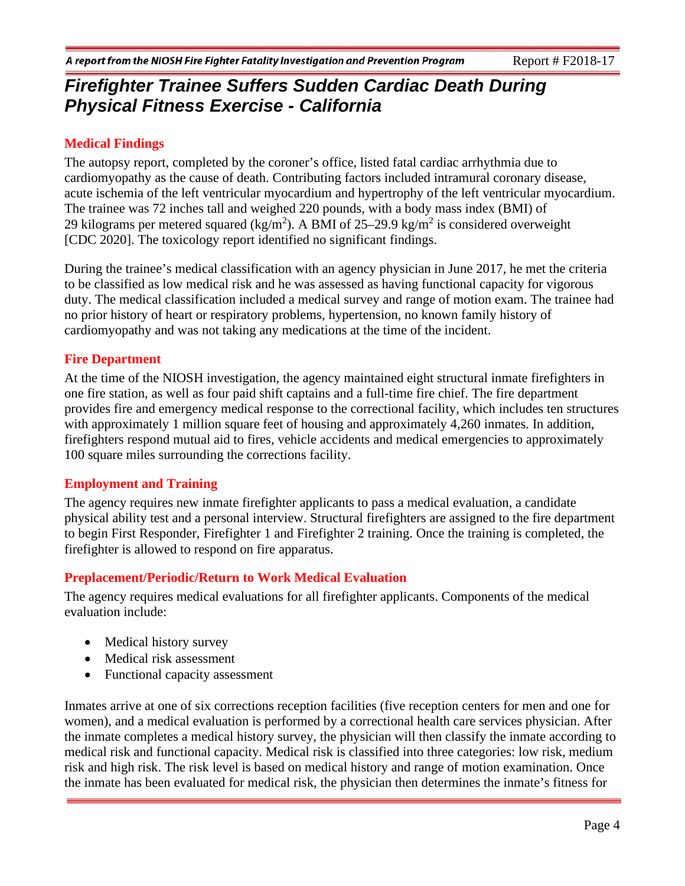### **Medical Findings**

The autopsy report, completed by the coroner's office, listed fatal cardiac arrhythmia due to cardiomyopathy as the cause of death. Contributing factors included intramural coronary disease, acute ischemia of the left ventricular myocardium and hypertrophy of the left ventricular myocardium. The trainee was 72 inches tall and weighed 220 pounds, with a body mass index (BMI) of 29 kilograms per metered squared (kg/m<sup>2</sup>). A BMI of 25–29.9 kg/m<sup>2</sup> is considered overweight [CDC 2020]. The toxicology report identified no significant findings.

During the trainee's medical classification with an agency physician in June 2017, he met the criteria to be classified as low medical risk and he was assessed as having functional capacity for vigorous duty. The medical classification included a medical survey and range of motion exam. The trainee had no prior history of heart or respiratory problems, hypertension, no known family history of cardiomyopathy and was not taking any medications at the time of the incident.

#### **Fire Department**

At the time of the NIOSH investigation, the agency maintained eight structural inmate firefighters in one fire station, as well as four paid shift captains and a full-time fire chief. The fire department provides fire and emergency medical response to the correctional facility, which includes ten structures with approximately 1 million square feet of housing and approximately 4,260 inmates. In addition, firefighters respond mutual aid to fires, vehicle accidents and medical emergencies to approximately 100 square miles surrounding the corrections facility.

### **Employment and Training**

The agency requires new inmate firefighter applicants to pass a medical evaluation, a candidate physical ability test and a personal interview. Structural firefighters are assigned to the fire department to begin First Responder, Firefighter 1 and Firefighter 2 training. Once the training is completed, the firefighter is allowed to respond on fire apparatus.

### **Preplacement/Periodic/Return to Work Medical Evaluation**

The agency requires medical evaluations for all firefighter applicants. Components of the medical evaluation include:

- Medical history survey
- Medical risk assessment
- Functional capacity assessment

Inmates arrive at one of six corrections reception facilities (five reception centers for men and one for women), and a medical evaluation is performed by a correctional health care services physician. After the inmate completes a medical history survey, the physician will then classify the inmate according to medical risk and functional capacity. Medical risk is classified into three categories: low risk, medium risk and high risk. The risk level is based on medical history and range of motion examination. Once the inmate has been evaluated for medical risk, the physician then determines the inmate's fitness for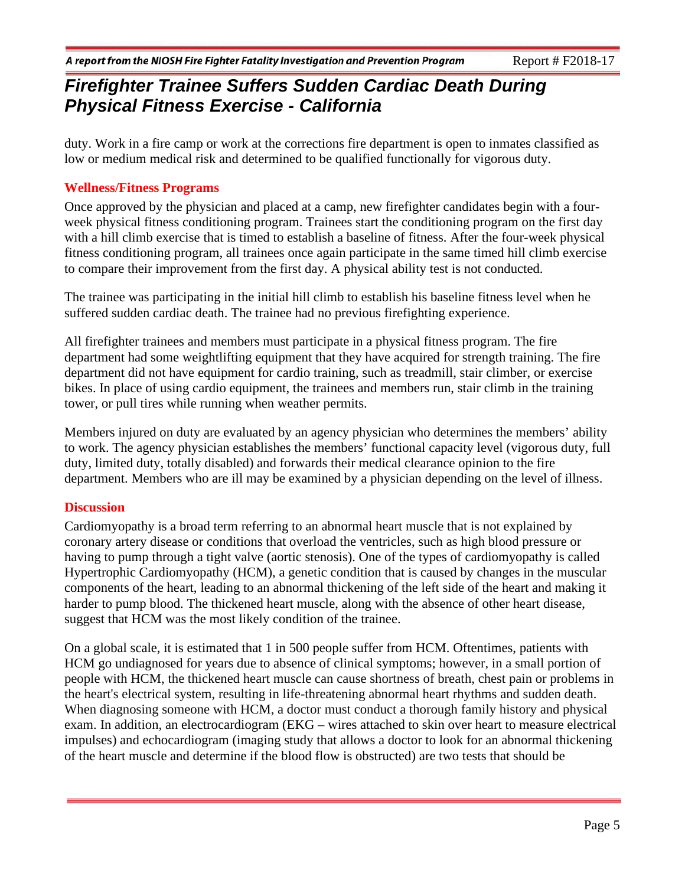duty. Work in a fire camp or work at the corrections fire department is open to inmates classified as low or medium medical risk and determined to be qualified functionally for vigorous duty.

#### **Wellness/Fitness Programs**

Once approved by the physician and placed at a camp, new firefighter candidates begin with a fourweek physical fitness conditioning program. Trainees start the conditioning program on the first day with a hill climb exercise that is timed to establish a baseline of fitness. After the four-week physical fitness conditioning program, all trainees once again participate in the same timed hill climb exercise to compare their improvement from the first day. A physical ability test is not conducted.

The trainee was participating in the initial hill climb to establish his baseline fitness level when he suffered sudden cardiac death. The trainee had no previous firefighting experience.

All firefighter trainees and members must participate in a physical fitness program. The fire department had some weightlifting equipment that they have acquired for strength training. The fire department did not have equipment for cardio training, such as treadmill, stair climber, or exercise bikes. In place of using cardio equipment, the trainees and members run, stair climb in the training tower, or pull tires while running when weather permits.

Members injured on duty are evaluated by an agency physician who determines the members' ability to work. The agency physician establishes the members' functional capacity level (vigorous duty, full duty, limited duty, totally disabled) and forwards their medical clearance opinion to the fire department. Members who are ill may be examined by a physician depending on the level of illness.

#### **Discussion**

Cardiomyopathy is a broad term referring to an abnormal heart muscle that is not explained by coronary artery disease or conditions that overload the ventricles, such as high blood pressure or having to pump through a tight valve (aortic stenosis). One of the types of cardiomyopathy is called Hypertrophic Cardiomyopathy (HCM), a genetic condition that is caused by changes in the muscular components of the heart, leading to an abnormal thickening of the left side of the heart and making it harder to pump blood. The thickened heart muscle, along with the absence of other heart disease, suggest that HCM was the most likely condition of the trainee.

On a global scale, it is estimated that 1 in 500 people suffer from HCM. Oftentimes, patients with HCM go undiagnosed for years due to absence of clinical symptoms; however, in a small portion of people with HCM, the thickened heart muscle can cause shortness of breath, chest pain or problems in the heart's electrical system, resulting in life-threatening abnormal heart rhythms and sudden death. When diagnosing someone with HCM, a doctor must conduct a thorough family history and physical exam. In addition, an electrocardiogram (EKG – wires attached to skin over heart to measure electrical impulses) and echocardiogram (imaging study that allows a doctor to look for an abnormal thickening of the heart muscle and determine if the blood flow is obstructed) are two tests that should be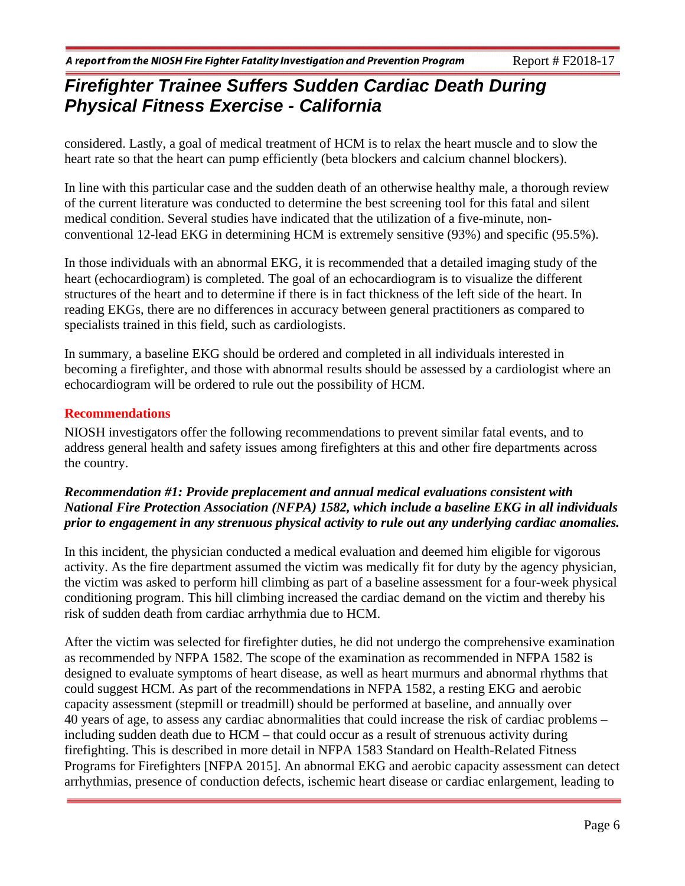A report from the NIOSH Fire Fighter Fatality Investigation and Prevention Program

## *Firefighter Trainee Suffers Sudden Cardiac Death During Physical Fitness Exercise - California*

considered. Lastly, a goal of medical treatment of HCM is to relax the heart muscle and to slow the heart rate so that the heart can pump efficiently (beta blockers and calcium channel blockers).

In line with this particular case and the sudden death of an otherwise healthy male, a thorough review of the current literature was conducted to determine the best screening tool for this fatal and silent medical condition. Several studies have indicated that the utilization of a five-minute, nonconventional 12-lead EKG in determining HCM is extremely sensitive (93%) and specific (95.5%).

In those individuals with an abnormal EKG, it is recommended that a detailed imaging study of the heart (echocardiogram) is completed. The goal of an echocardiogram is to visualize the different structures of the heart and to determine if there is in fact thickness of the left side of the heart. In reading EKGs, there are no differences in accuracy between general practitioners as compared to specialists trained in this field, such as cardiologists.

In summary, a baseline EKG should be ordered and completed in all individuals interested in becoming a firefighter, and those with abnormal results should be assessed by a cardiologist where an echocardiogram will be ordered to rule out the possibility of HCM.

#### **Recommendations**

NIOSH investigators offer the following recommendations to prevent similar fatal events, and to address general health and safety issues among firefighters at this and other fire departments across the country.

#### *Recommendation #1: Provide preplacement and annual medical evaluations consistent with National Fire Protection Association (NFPA) 1582, which include a baseline EKG in all individuals prior to engagement in any strenuous physical activity to rule out any underlying cardiac anomalies.*

In this incident, the physician conducted a medical evaluation and deemed him eligible for vigorous activity. As the fire department assumed the victim was medically fit for duty by the agency physician, the victim was asked to perform hill climbing as part of a baseline assessment for a four-week physical conditioning program. This hill climbing increased the cardiac demand on the victim and thereby his risk of sudden death from cardiac arrhythmia due to HCM.

After the victim was selected for firefighter duties, he did not undergo the comprehensive examination as recommended by NFPA 1582. The scope of the examination as recommended in NFPA 1582 is designed to evaluate symptoms of heart disease, as well as heart murmurs and abnormal rhythms that could suggest HCM. As part of the recommendations in NFPA 1582, a resting EKG and aerobic capacity assessment (stepmill or treadmill) should be performed at baseline, and annually over 40 years of age, to assess any cardiac abnormalities that could increase the risk of cardiac problems – including sudden death due to HCM – that could occur as a result of strenuous activity during firefighting. This is described in more detail in NFPA 1583 Standard on Health-Related Fitness Programs for Firefighters [NFPA 2015]. An abnormal EKG and aerobic capacity assessment can detect arrhythmias, presence of conduction defects, ischemic heart disease or cardiac enlargement, leading to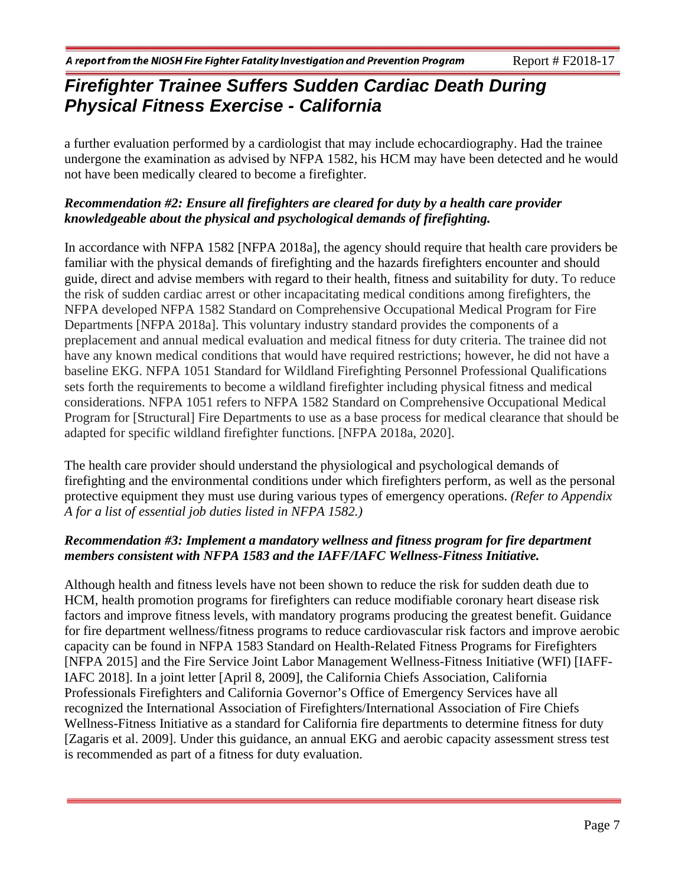a further evaluation performed by a cardiologist that may include echocardiography. Had the trainee undergone the examination as advised by NFPA 1582, his HCM may have been detected and he would not have been medically cleared to become a firefighter.

### *Recommendation #2: Ensure all firefighters are cleared for duty by a health care provider knowledgeable about the physical and psychological demands of firefighting.*

In accordance with NFPA 1582 [NFPA 2018a], the agency should require that health care providers be familiar with the physical demands of firefighting and the hazards firefighters encounter and should guide, direct and advise members with regard to their health, fitness and suitability for duty. To reduce the risk of sudden cardiac arrest or other incapacitating medical conditions among firefighters, the NFPA developed NFPA 1582 Standard on Comprehensive Occupational Medical Program for Fire Departments [NFPA 2018a]. This voluntary industry standard provides the components of a preplacement and annual medical evaluation and medical fitness for duty criteria. The trainee did not have any known medical conditions that would have required restrictions; however, he did not have a baseline EKG. NFPA 1051 Standard for Wildland Firefighting Personnel Professional Qualifications sets forth the requirements to become a wildland firefighter including physical fitness and medical considerations. NFPA 1051 refers to NFPA 1582 Standard on Comprehensive Occupational Medical Program for [Structural] Fire Departments to use as a base process for medical clearance that should be adapted for specific wildland firefighter functions. [NFPA 2018a, 2020].

The health care provider should understand the physiological and psychological demands of firefighting and the environmental conditions under which firefighters perform, as well as the personal protective equipment they must use during various types of emergency operations. *(Refer to Appendix A for a list of essential job duties listed in NFPA 1582.)* 

### *Recommendation #3: Implement a mandatory wellness and fitness program for fire department members consistent with NFPA 1583 and the IAFF/IAFC Wellness-Fitness Initiative.*

Although health and fitness levels have not been shown to reduce the risk for sudden death due to HCM, health promotion programs for firefighters can reduce modifiable coronary heart disease risk factors and improve fitness levels, with mandatory programs producing the greatest benefit. Guidance for fire department wellness/fitness programs to reduce cardiovascular risk factors and improve aerobic capacity can be found in NFPA 1583 Standard on Health-Related Fitness Programs for Firefighters [NFPA 2015] and the Fire Service Joint Labor Management Wellness-Fitness Initiative (WFI) [IAFF-IAFC 2018]. In a joint letter [April 8, 2009], the California Chiefs Association, California Professionals Firefighters and California Governor's Office of Emergency Services have all recognized the International Association of Firefighters/International Association of Fire Chiefs Wellness-Fitness Initiative as a standard for California fire departments to determine fitness for duty [Zagaris et al. 2009]. Under this guidance, an annual EKG and aerobic capacity assessment stress test is recommended as part of a fitness for duty evaluation.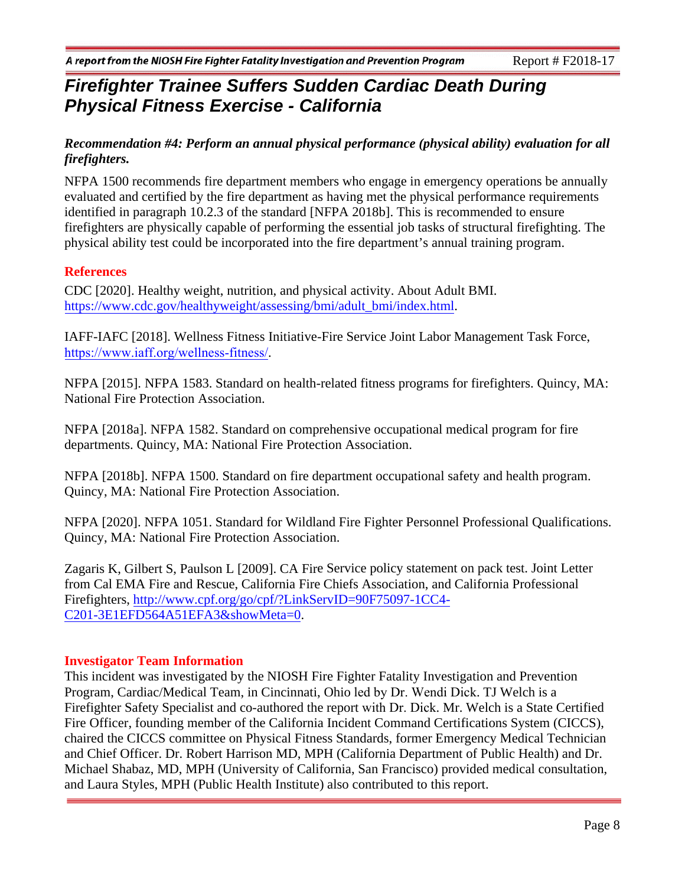### *Recommendation #4: Perform an annual physical performance (physical ability) evaluation for all firefighters.*

NFPA 1500 recommends fire department members who engage in emergency operations be annually evaluated and certified by the fire department as having met the physical performance requirements identified in paragraph 10.2.3 of the standard [NFPA 2018b]. This is recommended to ensure firefighters are physically capable of performing the essential job tasks of structural firefighting. The physical ability test could be incorporated into the fire department's annual training program.

### **References**

CDC [2020]. Healthy weight, nutrition, and physical activity. About Adult BMI. [https://www.cdc.gov/healthyweight/assessing/bmi/adult\\_bmi/index.html.](https://www.cdc.gov/healthyweight/assessing/bmi/adult_bmi/index.html)

IAFF-IAFC [2018]. Wellness Fitness Initiative-Fire Service Joint Labor Management Task Force, <https://www.iaff.org/wellness-fitness/>.

NFPA [2015]. NFPA 1583. Standard on health-related fitness programs for firefighters. Quincy, MA: National Fire Protection Association.

NFPA [2018a]. NFPA 1582. Standard on comprehensive occupational medical program for fire departments. Quincy, MA: National Fire Protection Association.

NFPA [2018b]. NFPA 1500. Standard on fire department occupational safety and health program. Quincy, MA: National Fire Protection Association.

NFPA [2020]. NFPA 1051. Standard for Wildland Fire Fighter Personnel Professional Qualifications. Quincy, MA: National Fire Protection Association.

Zagaris K, Gilbert S, Paulson L [2009]. CA Fire Service policy statement on pack test. Joint Letter from Cal EMA Fire and Rescue, California Fire Chiefs Association, and California Professional Firefighters, [http://www.cpf.org/go/cpf/?LinkServID=90F75097-1CC4-](http://www.cpf.org/go/cpf/?LinkServID=90F75097-1CC4-C201-3E1EFD564A51EFA3&showMeta=0) [C201-3E1EFD564A51EFA3&showM](http://www.cpf.org/go/cpf/?LinkServID=90F75097-1CC4-C201-3E1EFD564A51EFA3&showMeta=0)eta=0.

#### **Investigator Team Information**

This incident was investigated by the NIOSH Fire Fighter Fatality Investigation and Prevention Program, Cardiac/Medical Team, in Cincinnati, Ohio led by Dr. Wendi Dick. TJ Welch is a Firefighter Safety Specialist and co-authored the report with Dr. Dick. Mr. Welch is a State Certified Fire Officer, founding member of the California Incident Command Certifications System (CICCS), chaired the CICCS committee on Physical Fitness Standards, former Emergency Medical Technician and Chief Officer. Dr. Robert Harrison MD, MPH (California Department of Public Health) and Dr. Michael Shabaz, MD, MPH (University of California, San Francisco) provided medical consultation, and Laura Styles, MPH (Public Health Institute) also contributed to this report.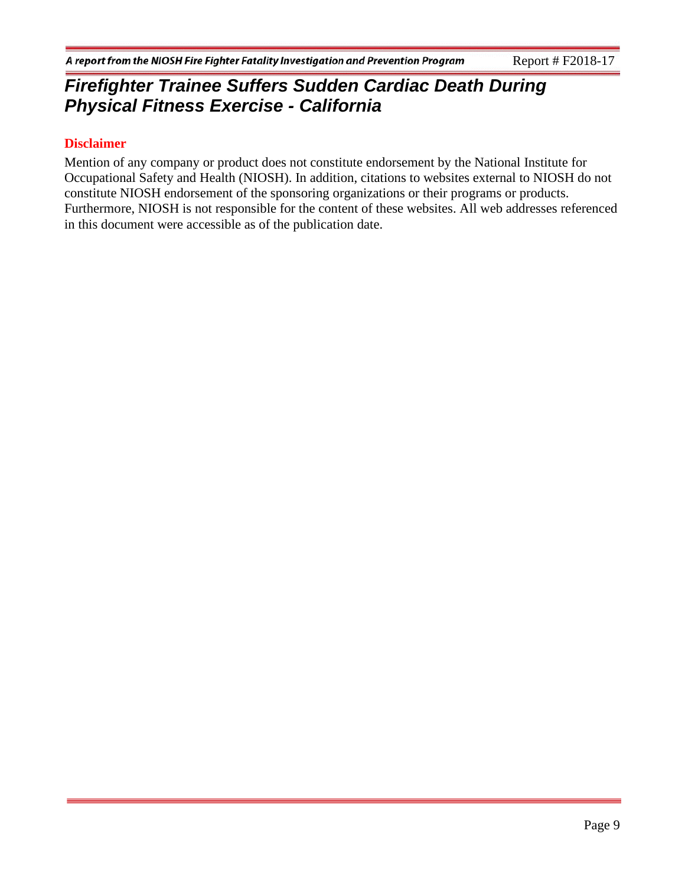#### **Disclaimer**

Mention of any company or product does not constitute endorsement by the National Institute for Occupational Safety and Health (NIOSH). In addition, citations to websites external to NIOSH do not constitute NIOSH endorsement of the sponsoring organizations or their programs or products. Furthermore, NIOSH is not responsible for the content of these websites. All web addresses referenced in this document were accessible as of the publication date.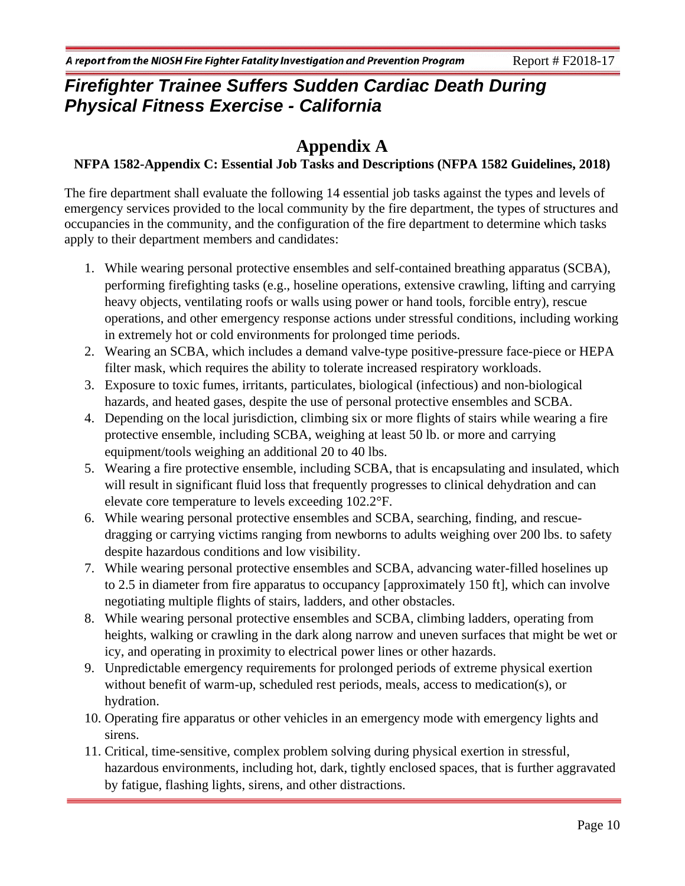### **Appendix A**

#### **NFPA 1582-Appendix C: Essential Job Tasks and Descriptions (NFPA 1582 Guidelines, 2018)**

The fire department shall evaluate the following 14 essential job tasks against the types and levels of emergency services provided to the local community by the fire department, the types of structures and occupancies in the community, and the configuration of the fire department to determine which tasks apply to their department members and candidates:

- 1. While wearing personal protective ensembles and self-contained breathing apparatus (SCBA), performing firefighting tasks (e.g., hoseline operations, extensive crawling, lifting and carrying heavy objects, ventilating roofs or walls using power or hand tools, forcible entry), rescue operations, and other emergency response actions under stressful conditions, including working in extremely hot or cold environments for prolonged time periods.
- 2. Wearing an SCBA, which includes a demand valve-type positive-pressure face-piece or HEPA filter mask, which requires the ability to tolerate increased respiratory workloads.
- 3. Exposure to toxic fumes, irritants, particulates, biological (infectious) and non-biological hazards, and heated gases, despite the use of personal protective ensembles and SCBA.
- 4. Depending on the local jurisdiction, climbing six or more flights of stairs while wearing a fire protective ensemble, including SCBA, weighing at least 50 lb. or more and carrying equipment/tools weighing an additional 20 to 40 lbs.
- 5. Wearing a fire protective ensemble, including SCBA, that is encapsulating and insulated, which will result in significant fluid loss that frequently progresses to clinical dehydration and can elevate core temperature to levels exceeding 102.2°F.
- 6. While wearing personal protective ensembles and SCBA, searching, finding, and rescuedragging or carrying victims ranging from newborns to adults weighing over 200 lbs. to safety despite hazardous conditions and low visibility.
- 7. While wearing personal protective ensembles and SCBA, advancing water-filled hoselines up to 2.5 in diameter from fire apparatus to occupancy [approximately 150 ft], which can involve negotiating multiple flights of stairs, ladders, and other obstacles.
- 8. While wearing personal protective ensembles and SCBA, climbing ladders, operating from heights, walking or crawling in the dark along narrow and uneven surfaces that might be wet or icy, and operating in proximity to electrical power lines or other hazards.
- 9. Unpredictable emergency requirements for prolonged periods of extreme physical exertion without benefit of warm-up, scheduled rest periods, meals, access to medication(s), or hydration.
- 10. Operating fire apparatus or other vehicles in an emergency mode with emergency lights and sirens.
- 11. Critical, time-sensitive, complex problem solving during physical exertion in stressful, hazardous environments, including hot, dark, tightly enclosed spaces, that is further aggravated by fatigue, flashing lights, sirens, and other distractions.